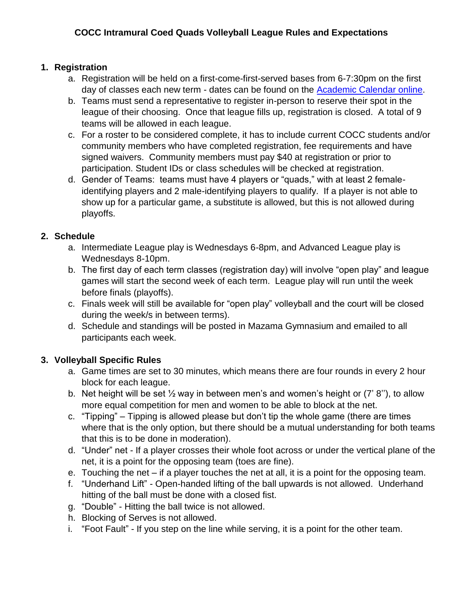## **1. Registration**

- a. Registration will be held on a first-come-first-served bases from 6-7:30pm on the first day of classes each new term - dates can be found on the [Academic Calendar online.](https://www.cocc.edu/departments/admissions/degrees-and-classes/academic-calendar-important-dates-by-term.aspx)
- b. Teams must send a representative to register in-person to reserve their spot in the league of their choosing. Once that league fills up, registration is closed. A total of 9 teams will be allowed in each league.
- c. For a roster to be considered complete, it has to include current COCC students and/or community members who have completed registration, fee requirements and have signed waivers. Community members must pay \$40 at registration or prior to participation. Student IDs or class schedules will be checked at registration.
- d. Gender of Teams: teams must have 4 players or "quads," with at least 2 femaleidentifying players and 2 male-identifying players to qualify. If a player is not able to show up for a particular game, a substitute is allowed, but this is not allowed during playoffs.

## **2. Schedule**

- a. Intermediate League play is Wednesdays 6-8pm, and Advanced League play is Wednesdays 8-10pm.
- b. The first day of each term classes (registration day) will involve "open play" and league games will start the second week of each term. League play will run until the week before finals (playoffs).
- c. Finals week will still be available for "open play" volleyball and the court will be closed during the week/s in between terms).
- d. Schedule and standings will be posted in Mazama Gymnasium and emailed to all participants each week.

# **3. Volleyball Specific Rules**

- a. Game times are set to 30 minutes, which means there are four rounds in every 2 hour block for each league.
- b. Net height will be set  $\frac{1}{2}$  way in between men's and women's height or (7' 8"), to allow more equal competition for men and women to be able to block at the net.
- c. "Tipping" Tipping is allowed please but don't tip the whole game (there are times where that is the only option, but there should be a mutual understanding for both teams that this is to be done in moderation).
- d. "Under" net If a player crosses their whole foot across or under the vertical plane of the net, it is a point for the opposing team (toes are fine).
- e. Touching the net if a player touches the net at all, it is a point for the opposing team.
- f. "Underhand Lift" Open-handed lifting of the ball upwards is not allowed. Underhand hitting of the ball must be done with a closed fist.
- g. "Double" Hitting the ball twice is not allowed.
- h. Blocking of Serves is not allowed.
- i. "Foot Fault" If you step on the line while serving, it is a point for the other team.